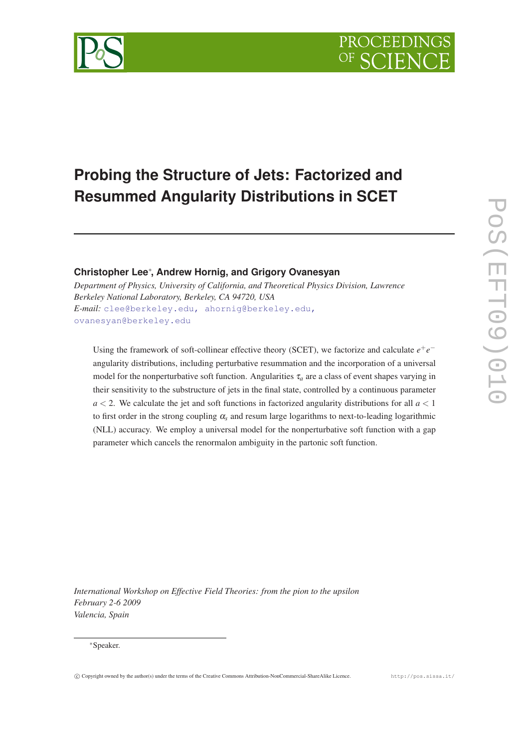



# **Probing the Structure of Jets: Factorized and Resummed Angularity Distributions in SCET**

# **Christopher Lee**∗ **, Andrew Hornig, and Grigory Ovanesyan**

*Department of Physics, University of California, and Theoretical Physics Division, Lawrence Berkeley National Laboratory, Berkeley, CA 94720, USA E-mail:* [clee@berkeley.edu, ahornig@berkeley.edu,](mailto:clee@berkeley.edu, ahornig@berkeley.edu, ovanesyan@berkeley.edu) [ovanesyan@berkeley.edu](mailto:clee@berkeley.edu, ahornig@berkeley.edu, ovanesyan@berkeley.edu)

Using the framework of soft-collinear effective theory (SCET), we factorize and calculate  $e^+e^$ angularity distributions, including perturbative resummation and the incorporation of a universal model for the nonperturbative soft function. Angularities  $\tau_a$  are a class of event shapes varying in their sensitivity to the substructure of jets in the final state, controlled by a continuous parameter  $a < 2$ . We calculate the jet and soft functions in factorized angularity distributions for all  $a < 1$ to first order in the strong coupling  $\alpha_s$  and resum large logarithms to next-to-leading logarithmic (NLL) accuracy. We employ a universal model for the nonperturbative soft function with a gap parameter which cancels the renormalon ambiguity in the partonic soft function.

*International Workshop on Effective Field Theories: from the pion to the upsilon February 2-6 2009 Valencia, Spain*

#### ∗Speaker.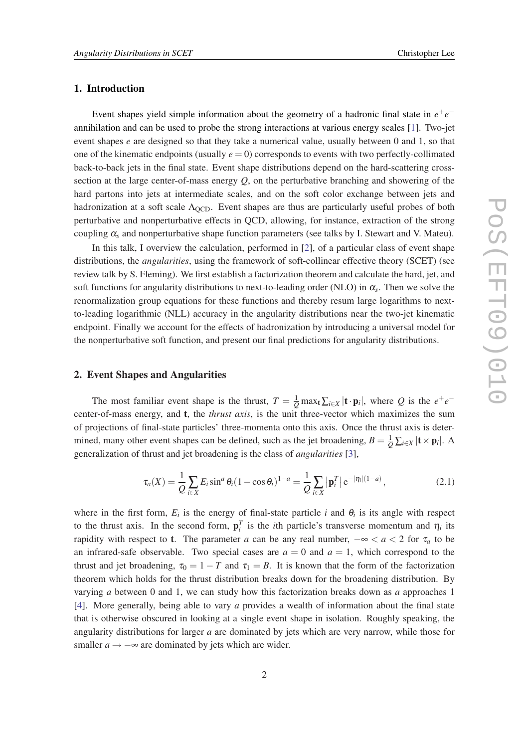### 1. Introduction

Event shapes yield simple information about the geometry of a hadronic final state in  $e^+e^$ annihilation and can be used to probe the strong interactions at various energy scales [\[1\]](#page-6-0). Two-jet event shapes *e* are designed so that they take a numerical value, usually between 0 and 1, so that one of the kinematic endpoints (usually  $e = 0$ ) corresponds to events with two perfectly-collimated back-to-back jets in the final state. Event shape distributions depend on the hard-scattering crosssection at the large center-of-mass energy *Q*, on the perturbative branching and showering of the hard partons into jets at intermediate scales, and on the soft color exchange between jets and hadronization at a soft scale  $\Lambda_{\text{QCD}}$ . Event shapes are thus are particularly useful probes of both perturbative and nonperturbative effects in QCD, allowing, for instance, extraction of the strong coupling  $\alpha_s$  and nonperturbative shape function parameters (see talks by I. Stewart and V. Mateu).

In this talk, I overview the calculation, performed in [[2](#page-6-0)], of a particular class of event shape distributions, the *angularities*, using the framework of soft-collinear effective theory (SCET) (see review talk by S. Fleming). We first establish a factorization theorem and calculate the hard, jet, and soft functions for angularity distributions to next-to-leading order (NLO) in α*<sup>s</sup>* . Then we solve the renormalization group equations for these functions and thereby resum large logarithms to nextto-leading logarithmic (NLL) accuracy in the angularity distributions near the two-jet kinematic endpoint. Finally we account for the effects of hadronization by introducing a universal model for the nonperturbative soft function, and present our final predictions for angularity distributions.

## 2. Event Shapes and Angularities

The most familiar event shape is the thrust,  $T = \frac{1}{Q} \max_t \sum_{i \in X} |\mathbf{t} \cdot \mathbf{p}_i|$ , where *Q* is the  $e^+e^$ center-of-mass energy, and t, the *thrust axis*, is the unit three-vector which maximizes the sum of projections of final-state particles' three-momenta onto this axis. Once the thrust axis is determined, many other event shapes can be defined, such as the jet broadening,  $B = \frac{1}{Q} \sum_{i \in X} | \mathbf{t} \times \mathbf{p}_i |$ . A generalization of thrust and jet broadening is the class of *angularities* [\[3\]](#page-6-0),

$$
\tau_a(X) = \frac{1}{Q} \sum_{i \in X} E_i \sin^a \theta_i (1 - \cos \theta_i)^{1-a} = \frac{1}{Q} \sum_{i \in X} |\mathbf{p}_i^T| e^{-|\eta_i|(1-a)}, \tag{2.1}
$$

where in the first form,  $E_i$  is the energy of final-state particle *i* and  $\theta_i$  is its angle with respect to the thrust axis. In the second form,  $\mathbf{p}_i^T$  is the *i*th particle's transverse momentum and  $\eta_i$  its rapidity with respect to **t**. The parameter *a* can be any real number,  $-\infty < a < 2$  for  $\tau_a$  to be an infrared-safe observable. Two special cases are  $a = 0$  and  $a = 1$ , which correspond to the thrust and jet broadening,  $\tau_0 = 1 - T$  and  $\tau_1 = B$ . It is known that the form of the factorization theorem which holds for the thrust distribution breaks down for the broadening distribution. By varying *a* between 0 and 1, we can study how this factorization breaks down as *a* approaches 1 [[4](#page-7-0)]. More generally, being able to vary *a* provides a wealth of information about the final state that is otherwise obscured in looking at a single event shape in isolation. Roughly speaking, the angularity distributions for larger *a* are dominated by jets which are very narrow, while those for smaller  $a \rightarrow -\infty$  are dominated by jets which are wider.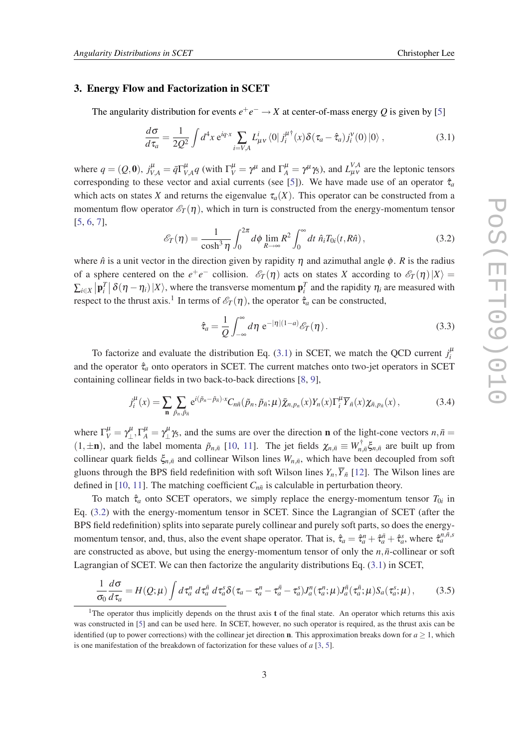#### <span id="page-2-0"></span>3. Energy Flow and Factorization in SCET

The angularity distribution for events  $e^+e^- \to X$  at center-of-mass energy Q is given by [[5](#page-7-0)]

$$
\frac{d\sigma}{d\tau_a} = \frac{1}{2Q^2} \int d^4x \, \mathrm{e}^{iq \cdot x} \sum_{i=V,A} L^i_{\mu\nu} \langle 0 | j_i^{\mu\dagger}(x) \delta(\tau_a - \hat{\tau}_a) j_i^{\nu}(0) | 0 \rangle \,, \tag{3.1}
$$

where  $q = (Q, 0)$ ,  $j_{V,A}^{\mu} = \bar{q} \Gamma_V^{\mu}$  $V_{V,A}^{\mu}$  (with  $\Gamma_V^{\mu} = \gamma^{\mu}$  and  $\Gamma_A^{\mu} = \gamma^{\mu} \gamma_5$ ), and  $L_{\mu\nu}^{V,A}$  are the leptonic tensors corresponding to these vector and axial currents (see [[5](#page-7-0)]). We have made use of an operator  $\hat{\tau}_a$ which acts on states *X* and returns the eigenvalue  $\tau_a(X)$ . This operator can be constructed from a momentum flow operator  $\mathcal{E}_T(\eta)$ , which in turn is constructed from the energy-momentum tensor [[5](#page-7-0), [6](#page-7-0), [7](#page-7-0)],

$$
\mathcal{E}_T(\eta) = \frac{1}{\cosh^3 \eta} \int_0^{2\pi} d\phi \lim_{R \to \infty} R^2 \int_0^{\infty} dt \ \hat{n}_i T_{0i}(t, R\hat{n}), \tag{3.2}
$$

where  $\hat{n}$  is a unit vector in the direction given by rapidity  $\eta$  and azimuthal angle  $\phi$ . *R* is the radius of a sphere centered on the  $e^+e^-$  collision.  $\mathcal{E}_T(\eta)$  acts on states *X* according to  $\mathcal{E}_T(\eta)|X\rangle =$  $\sum_{i\in X} |\mathbf{p}_i|^T |\delta(\eta - \eta_i)|X\rangle$ , where the transverse momentum  $\mathbf{p}_i^T$  and the rapidity  $\eta_i$  are measured with respect to the thrust axis.<sup>1</sup> In terms of  $\mathscr{E}_T(\eta)$ , the operator  $\hat{\tau}_a$  can be constructed,

$$
\hat{\tau}_a = \frac{1}{Q} \int_{-\infty}^{\infty} d\eta \ e^{-|\eta|(1-a)} \mathcal{E}_T(\eta). \tag{3.3}
$$

To factorize and evaluate the distribution Eq. (3.1) in SCET, we match the QCD current  $j_i^{\mu}$ and the operator  $\hat{\tau}_a$  onto operators in SCET. The current matches onto two-jet operators in SCET containing collinear fields in two back-to-back directions [[8](#page-7-0), [9](#page-7-0)],

$$
j_i^{\mu}(x) = \sum_{\mathbf{n}} \sum_{\tilde{p}_n, \tilde{p}_{\tilde{n}}} e^{i(\tilde{p}_n - \tilde{p}_{\tilde{n}}) \cdot x} C_{n\tilde{n}}(\tilde{p}_n, \tilde{p}_{\tilde{n}}; \mu) \bar{\chi}_{n, p_n}(x) Y_n(x) \Gamma_i^{\mu} \bar{Y}_{\tilde{n}}(x) \chi_{\tilde{n}, p_{\tilde{n}}}(x) , \qquad (3.4)
$$

where  $\Gamma_V^{\mu} = \gamma_{\perp}^{\mu}$ ,  $\Gamma_A^{\mu} = \gamma_{\perp}^{\mu}$  //<sub>2</sub>, and the sums are over the direction **n** of the light-cone vectors  $n, \bar{n} =$  $(1, \pm n)$ , and the label momenta  $\tilde{p}_{n,\bar{n}}$  [[10,](#page-7-0) [11\]](#page-7-0). The jet fields  $\chi_{n,\bar{n}} \equiv W_{n,\bar{n}}^{\dagger} \xi_{n,\bar{n}}$  are built up from collinear quark fields  $\xi_{n,\bar{n}}$  and collinear Wilson lines  $W_{n,\bar{n}}$ , which have been decoupled from soft gluons through the BPS field redefinition with soft Wilson lines  $Y_n, \overline{Y}_{n}$  [[12\]](#page-7-0). The Wilson lines are defined in [\[10,](#page-7-0) [11](#page-7-0)]. The matching coefficient  $C_{n\bar{n}}$  is calculable in perturbation theory.

To match  $\hat{\tau}_a$  onto SCET operators, we simply replace the energy-momentum tensor  $T_{0i}$  in Eq. (3.2) with the energy-momentum tensor in SCET. Since the Lagrangian of SCET (after the BPS field redefinition) splits into separate purely collinear and purely soft parts, so does the energymomentum tensor, and, thus, also the event shape operator. That is,  $\hat{\tau}_a = \hat{\tau}_a^n + \hat{\tau}_a^{\bar{n}} + \hat{\tau}_a^s$ , where  $\hat{\tau}_a^{n,\bar{n},s}$ are constructed as above, but using the energy-momentum tensor of only the  $n, \bar{n}$ -collinear or soft Lagrangian of SCET. We can then factorize the angularity distributions Eq. (3.1) in SCET,

$$
\frac{1}{\sigma_0}\frac{d\sigma}{d\tau_a} = H(Q;\mu)\int d\tau_a^n d\tau_a^{\bar{n}} d\tau_a^s \delta(\tau_a - \tau_a^n - \tau_a^{\bar{n}} - \tau_a^s)J_a^n(\tau_a^n;\mu)J_a^{\bar{n}}(\tau_a^{\bar{n}};\mu)S_a(\tau_a^s;\mu), \qquad (3.5)
$$

<sup>&</sup>lt;sup>1</sup>The operator thus implicitly depends on the thrust axis **t** of the final state. An operator which returns this axis was constructed in [\[5\]](#page-7-0) and can be used here. In SCET, however, no such operator is required, as the thrust axis can be identified (up to power corrections) with the collinear jet direction **n**. This approximation breaks down for  $a \ge 1$ , which is one manifestation of the breakdown of factorization for these values of *a* [\[3,](#page-6-0) [5\]](#page-7-0).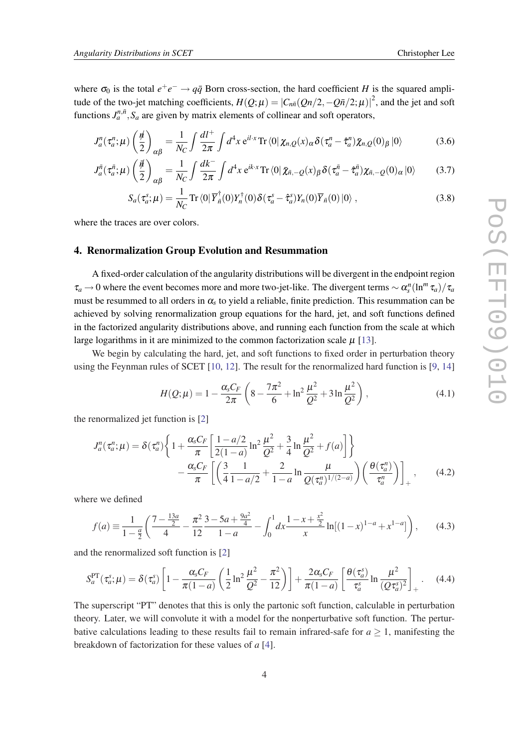where  $\sigma_0$  is the total  $e^+e^- \rightarrow q\bar{q}$  Born cross-section, the hard coefficient *H* is the squared amplitude of the two-jet matching coefficients,  $H(Q; \mu) = |C_{n\bar{n}}(Qn/2, -Q\bar{n}/2; \mu)|^2$ , and the jet and soft functions  $J_a^{n,\bar{n}}$ ,  $S_a$  are given by matrix elements of collinear and soft operators,

$$
J_a^n(\tau_a^n;\mu)\left(\frac{\rlap{/}{\hbar}}{2}\right)_{\alpha\beta} = \frac{1}{N_C} \int \frac{dl^+}{2\pi} \int d^4x \, \mathrm{e}^{il\cdot x} \mathrm{Tr}\left\langle 0 \right| \chi_{n,Q}(x)_{\alpha} \delta(\tau_a^n - \hat{\tau}_a^n) \bar{\chi}_{n,Q}(0)_{\beta} \left| 0 \right\rangle \tag{3.6}
$$

$$
J_a^{\bar{n}}(\tau_a^{\bar{n}};\mu)\left(\frac{\vec{\mu}}{2}\right)_{\alpha\beta} = \frac{1}{N_C} \int \frac{dk^-}{2\pi} \int d^4x \, \mathrm{e}^{ik\cdot x} \mathrm{Tr} \left\langle 0 \right| \bar{\chi}_{\bar{n},-Q}(x)_{\beta} \delta(\tau_a^{\bar{n}} - \hat{\tau}_a^{\bar{n}}) \chi_{\bar{n},-Q}(0)_{\alpha} \left| 0 \right\rangle \tag{3.7}
$$

$$
S_a(\tau_a^s; \mu) = \frac{1}{N_C} \operatorname{Tr} \langle 0 | \overline{Y}_n^{\dagger}(0) Y_n^{\dagger}(0) \delta(\tau_a^s - \hat{\tau}_a^s) Y_n(0) \overline{Y}_n(0) | 0 \rangle , \qquad (3.8)
$$

where the traces are over colors.

#### 4. Renormalization Group Evolution and Resummation

A fixed-order calculation of the angularity distributions will be divergent in the endpoint region  $\tau_a \to 0$  where the event becomes more and more two-jet-like. The divergent terms  $\sim \alpha_s^n (\ln^m \tau_a)/\tau_a$ must be resummed to all orders in  $\alpha_s$  to yield a reliable, finite prediction. This resummation can be achieved by solving renormalization group equations for the hard, jet, and soft functions defined in the factorized angularity distributions above, and running each function from the scale at which large logarithms in it are minimized to the common factorization scale  $\mu$  [[13\]](#page-7-0).

We begin by calculating the hard, jet, and soft functions to fixed order in perturbation theory using the Feynman rules of SCET [\[10](#page-7-0), [12](#page-7-0)]. The result for the renormalized hard function is [[9](#page-7-0), [14](#page-7-0)]

$$
H(Q; \mu) = 1 - \frac{\alpha_s C_F}{2\pi} \left( 8 - \frac{7\pi^2}{6} + \ln^2 \frac{\mu^2}{Q^2} + 3\ln \frac{\mu^2}{Q^2} \right),
$$
 (4.1)

the renormalized jet function is [\[2](#page-6-0)]

$$
J_a^n(\tau_a^n; \mu) = \delta(\tau_a^n) \left\{ 1 + \frac{\alpha_s C_F}{\pi} \left[ \frac{1 - a/2}{2(1 - a)} \ln^2 \frac{\mu^2}{Q^2} + \frac{3}{4} \ln \frac{\mu^2}{Q^2} + f(a) \right] \right\}
$$

$$
- \frac{\alpha_s C_F}{\pi} \left[ \left( \frac{3}{4} \frac{1}{1 - a/2} + \frac{2}{1 - a} \ln \frac{\mu}{Q(\tau_a^n)^{1/(2 - a)}} \right) \left( \frac{\theta(\tau_a^n)}{\tau_a^n} \right) \right]_+ , \qquad (4.2)
$$

where we defined

$$
f(a) \equiv \frac{1}{1-\frac{a}{2}} \left( \frac{7-\frac{13a}{2}}{4} - \frac{\pi^2}{12} \frac{3-5a+\frac{9a^2}{4}}{1-a} - \int_0^1 dx \frac{1-x+\frac{x^2}{2}}{x} \ln[(1-x)^{1-a} + x^{1-a}]\right),\tag{4.3}
$$

and the renormalized soft function is [[2](#page-6-0)]

$$
S_a^{\rm PT}(\tau_a^s; \mu) = \delta(\tau_a^s) \left[ 1 - \frac{\alpha_s C_F}{\pi (1-a)} \left( \frac{1}{2} \ln^2 \frac{\mu^2}{Q^2} - \frac{\pi^2}{12} \right) \right] + \frac{2 \alpha_s C_F}{\pi (1-a)} \left[ \frac{\theta(\tau_a^s)}{\tau_a^s} \ln \frac{\mu^2}{(Q \tau_a^s)^2} \right]_+ \,. \tag{4.4}
$$

The superscript "PT" denotes that this is only the partonic soft function, calculable in perturbation theory. Later, we will convolute it with a model for the nonperturbative soft function. The perturbative calculations leading to these results fail to remain infrared-safe for  $a \ge 1$ , manifesting the breakdown of factorization for these values of *a* [\[4\]](#page-7-0).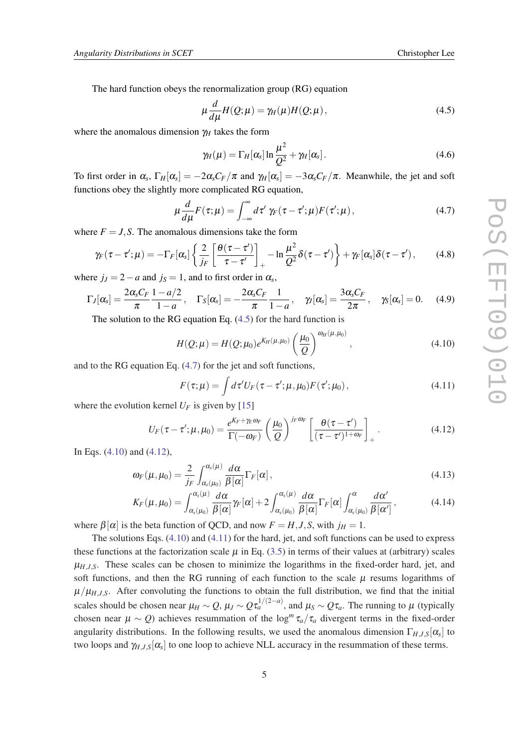The hard function obeys the renormalization group (RG) equation

$$
\mu \frac{d}{d\mu} H(Q; \mu) = \gamma_H(\mu) H(Q; \mu), \qquad (4.5)
$$

where the anomalous dimension  $\gamma_H$  takes the form

$$
\gamma_H(\mu) = \Gamma_H[\alpha_s] \ln \frac{\mu^2}{Q^2} + \gamma_H[\alpha_s]. \qquad (4.6)
$$

To first order in  $\alpha_s$ ,  $\Gamma_H[\alpha_s] = -2\alpha_s C_F/\pi$  and  $\gamma_H[\alpha_s] = -3\alpha_s C_F/\pi$ . Meanwhile, the jet and soft functions obey the slightly more complicated RG equation,

$$
\mu \frac{d}{d\mu} F(\tau; \mu) = \int_{-\infty}^{\infty} d\tau' \gamma_F(\tau - \tau'; \mu) F(\tau'; \mu), \qquad (4.7)
$$

where  $F = J$ , S. The anomalous dimensions take the form

$$
\gamma_F(\tau-\tau';\mu)=-\Gamma_F[\alpha_s]\left\{\frac{2}{j_F}\left[\frac{\theta(\tau-\tau')}{\tau-\tau'}\right]_+-\ln\frac{\mu^2}{Q^2}\delta(\tau-\tau')\right\}+\gamma_F[\alpha_s]\delta(\tau-\tau'),\qquad(4.8)
$$

where  $j_j = 2 - a$  and  $j_s = 1$ , and to first order in  $\alpha_s$ ,

$$
\Gamma_J[\alpha_s] = \frac{2\alpha_s C_F}{\pi} \frac{1 - a/2}{1 - a}, \quad \Gamma_S[\alpha_s] = -\frac{2\alpha_s C_F}{\pi} \frac{1}{1 - a}, \quad \gamma_J[\alpha_s] = \frac{3\alpha_s C_F}{2\pi}, \quad \gamma_S[\alpha_s] = 0. \quad (4.9)
$$

The solution to the RG equation Eq. (4.5) for the hard function is

$$
H(Q; \mu) = H(Q; \mu_0) e^{K_H(\mu, \mu_0)} \left(\frac{\mu_0}{Q}\right)^{\omega_H(\mu, \mu_0)}, \qquad (4.10)
$$

and to the RG equation Eq. (4.7) for the jet and soft functions,

$$
F(\tau;\mu) = \int d\tau' U_F(\tau - \tau';\mu,\mu_0) F(\tau';\mu_0), \qquad (4.11)
$$

where the evolution kernel  $U_F$  is given by [[15\]](#page-7-0)

$$
U_F(\tau - \tau'; \mu, \mu_0) = \frac{e^{K_F + \gamma_E \omega_F}}{\Gamma(-\omega_F)} \left(\frac{\mu_0}{Q}\right)^{j_F \omega_F} \left[\frac{\theta(\tau - \tau')}{(\tau - \tau')^{1 + \omega_F}}\right]_+.
$$
(4.12)

In Eqs. (4.10) and (4.12),

$$
\omega_F(\mu,\mu_0) = \frac{2}{j_F} \int_{\alpha_s(\mu_0)}^{\alpha_s(\mu)} \frac{d\alpha}{\beta[\alpha]} \Gamma_F[\alpha], \qquad (4.13)
$$

$$
K_F(\mu,\mu_0) = \int_{\alpha_s(\mu_0)}^{\alpha_s(\mu)} \frac{d\alpha}{\beta[\alpha]} \gamma_F[\alpha] + 2 \int_{\alpha_s(\mu_0)}^{\alpha_s(\mu)} \frac{d\alpha}{\beta[\alpha]} \Gamma_F[\alpha] \int_{\alpha_s(\mu_0)}^{\alpha} \frac{d\alpha'}{\beta[\alpha']}, \qquad (4.14)
$$

where  $\beta[\alpha]$  is the beta function of QCD, and now  $F = H, J, S$ , with  $j_H = 1$ .

The solutions Eqs. (4.10) and (4.11) for the hard, jet, and soft functions can be used to express these functions at the factorization scale  $\mu$  in Eq. [\(3.5\)](#page-2-0) in terms of their values at (arbitrary) scales  $\mu_{H,J,S}$ . These scales can be chosen to minimize the logarithms in the fixed-order hard, jet, and soft functions, and then the RG running of each function to the scale  $\mu$  resums logarithms of  $\mu/\mu_{H,J,S}$ . After convoluting the functions to obtain the full distribution, we find that the initial scales should be chosen near  $\mu_H \sim Q$ ,  $\mu_J \sim Q \tau_a^{1/(2-a)}$ , and  $\mu_S \sim Q \tau_a$ . The running to  $\mu$  (typically chosen near  $\mu \sim Q$ ) achieves resummation of the log<sup>*m*</sup>  $\tau_a/\tau_a$  divergent terms in the fixed-order angularity distributions. In the following results, we used the anomalous dimension  $\Gamma_{H,J,S}[\alpha_s]$  to two loops and  $\gamma_{H,J,S}[\alpha_s]$  to one loop to achieve NLL accuracy in the resummation of these terms.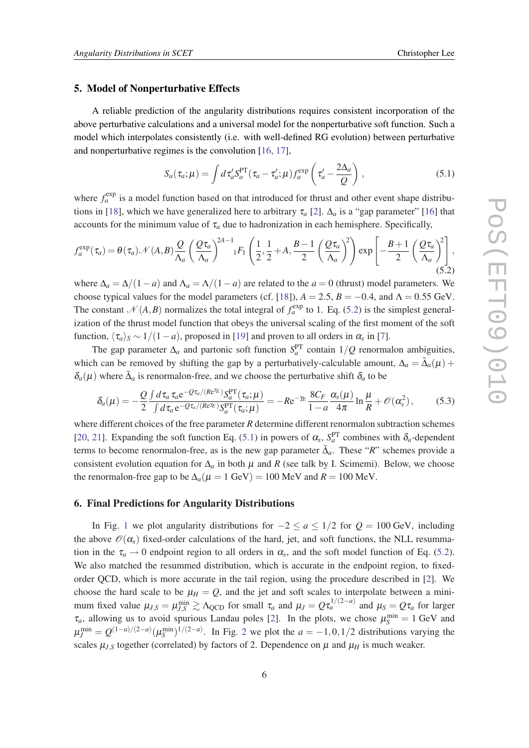#### 5. Model of Nonperturbative Effects

A reliable prediction of the angularity distributions requires consistent incorporation of the above perturbative calculations and a universal model for the nonperturbative soft function. Such a model which interpolates consistently (i.e. with well-defined RG evolution) between perturbative and nonperturbative regimes is the convolution [\[16](#page-7-0), [17](#page-7-0)],

$$
S_a(\tau_a; \mu) = \int d\tau_a' S_a^{\rm PT}(\tau_a - \tau_a'; \mu) f_a^{\rm exp} \left( \tau_a' - \frac{2\Delta_a}{Q} \right), \qquad (5.1)
$$

where  $f_a^{\text{exp}}$  is a model function based on that introduced for thrust and other event shape distribu-tions in [\[18](#page-7-0)], which we have generalized here to arbitrary  $\tau_a$  [[2](#page-6-0)].  $\Delta_a$  is a "gap parameter" [\[16](#page-7-0)] that accounts for the minimum value of  $\tau_a$  due to hadronization in each hemisphere. Specifically,

$$
f_a^{\exp}(\tau_a) = \theta(\tau_a) \mathcal{N}(A, B) \frac{Q}{\Lambda_a} \left(\frac{Q\tau_a}{\Lambda_a}\right)^{2A-1} {}_{1}F_1\left(\frac{1}{2}, \frac{1}{2} + A, \frac{B-1}{2} \left(\frac{Q\tau_a}{\Lambda_a}\right)^2\right) \exp\left[-\frac{B+1}{2} \left(\frac{Q\tau_a}{\Lambda_a}\right)^2\right],
$$
\n(5.2)

where  $\Delta_a = \Delta/(1-a)$  and  $\Delta_a = \Delta/(1-a)$  are related to the *a* = 0 (thrust) model parameters. We choose typical values for the model parameters (cf. [\[18](#page-7-0)]),  $A = 2.5$ ,  $B = -0.4$ , and  $\Lambda = 0.55$  GeV. The constant  $\mathcal{N}(A, B)$  normalizes the total integral of  $f_a^{\text{exp}}$  to 1. Eq. (5.2) is the simplest generalization of the thrust model function that obeys the universal scaling of the first moment of the soft function,  $\langle \tau_a \rangle_s \sim 1/(1-a)$ , proposed in [[19](#page-7-0)] and proven to all orders in  $\alpha_s$  in [\[7\]](#page-7-0).

The gap parameter  $\Delta_a$  and partonic soft function  $S_a^{PT}$  contain  $1/Q$  renormalon ambiguities, which can be removed by shifting the gap by a perturbatively-calculable amount,  $\Delta_a = \bar{\Delta}_a(\mu) +$  $\delta_a(\mu)$  where  $\bar{\Delta}_a$  is renormalon-free, and we choose the perturbative shift  $\delta_a$  to be

$$
\delta_a(\mu) = -\frac{Q}{2} \frac{\int d\tau_a \tau_a e^{-Q\tau_a/(Re^{2E})} S_a^{\text{PT}}(\tau_a; \mu)}{\int d\tau_a e^{-Q\tau_a/(Re^{2E})} S_a^{\text{PT}}(\tau_a; \mu)} = -Re^{-\gamma_E} \frac{8C_F}{1-a} \frac{\alpha_s(\mu)}{4\pi} \ln \frac{\mu}{R} + \mathcal{O}(\alpha_s^2),\tag{5.3}
$$

where different choices of the free parameter *R* determine different renormalon subtraction schemes [[20,](#page-7-0) [21\]](#page-7-0). Expanding the soft function Eq. (5.1) in powers of  $\alpha_s$ ,  $S_a^{\text{PT}}$  combines with  $\delta_a$ -dependent terms to become renormalon-free, as is the new gap parameter  $\bar{\Delta}_a$ . These "*R*" schemes provide a consistent evolution equation for  $\Delta_a$  in both  $\mu$  and *R* (see talk by I. Scimemi). Below, we choose the renormalon-free gap to be  $\Delta_a(\mu = 1 \text{ GeV}) = 100 \text{ MeV}$  and  $R = 100 \text{ MeV}$ .

#### 6. Final Predictions for Angularity Distributions

In Fig. [1](#page-6-0) we plot angularity distributions for  $-2 \le a \le 1/2$  for  $Q = 100$  GeV, including the above  $\mathcal{O}(\alpha_s)$  fixed-order calculations of the hard, jet, and soft functions, the NLL resummation in the  $\tau_a \rightarrow 0$  endpoint region to all orders in  $\alpha_s$ , and the soft model function of Eq. (5.2). We also matched the resummed distribution, which is accurate in the endpoint region, to fixedorder QCD, which is more accurate in the tail region, using the procedure described in [[2](#page-6-0)]. We choose the hard scale to be  $\mu_H = Q$ , and the jet and soft scales to interpolate between a minimum fixed value  $\mu_{J,S} = \mu_{J,S}^{\min} \gtrsim \Lambda_{\text{QCD}}$  for small  $\tau_a$  and  $\mu_J = Q \tau_a^{1/(2-a)}$  and  $\mu_S = Q \tau_a$  for larger  $\tau_a$ , allowing us to avoid spurious Landau poles [\[2\]](#page-6-0). In the plots, we chose  $\mu_S^{\text{min}} = 1 \text{ GeV}$  and  $\mu_J^{\text{min}} = Q^{(1-a)/(2-a)} (\mu_S^{\text{min}})^{1/(2-a)}$  $\mu_J^{\text{min}} = Q^{(1-a)/(2-a)} (\mu_S^{\text{min}})^{1/(2-a)}$  $\mu_J^{\text{min}} = Q^{(1-a)/(2-a)} (\mu_S^{\text{min}})^{1/(2-a)}$ . In Fig. 2 we plot the  $a = -1, 0, 1/2$  distributions varying the scales  $\mu_{J,S}$  together (correlated) by factors of 2. Dependence on  $\mu$  and  $\mu_H$  is much weaker.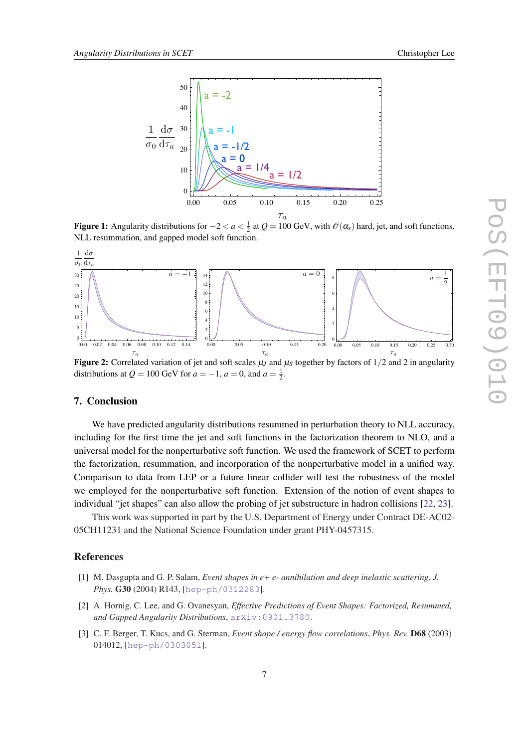<span id="page-6-0"></span>

Figure 1: Angularity distributions for  $-2 < a < \frac{1}{2}$  at  $Q = 100$  GeV, with  $\mathscr{O}(\alpha_s)$  hard, jet, and soft functions, NLL resummation, and gapped model soft function.



Figure 2: Correlated variation of jet and soft scales  $\mu_J$  and  $\mu_S$  together by factors of  $1/2$  and 2 in angularity distributions at  $Q = 100$  GeV for  $a = -1$ ,  $a = 0$ , and  $a = \frac{1}{2}$ .

#### 7. Conclusion

We have predicted angularity distributions resummed in perturbation theory to NLL accuracy, including for the first time the jet and soft functions in the factorization theorem to NLO, and a universal model for the nonperturbative soft function. We used the framework of SCET to perform the factorization, resummation, and incorporation of the nonperturbative model in a unified way. Comparison to data from LEP or a future linear collider will test the robustness of the model we employed for the nonperturbative soft function. Extension of the notion of event shapes to individual "jet shapes" can also allow the probing of jet substructure in hadron collisions [[22,](#page-7-0) [23\]](#page-7-0).

This work was supported in part by the U.S. Department of Energy under Contract DE-AC02- 05CH11231 and the National Science Foundation under grant PHY-0457315.

#### References

- [1] M. Dasgupta and G. P. Salam, *Event shapes in e+ e- annihilation and deep inelastic scattering*, *J. Phys.* G30 (2004) R143, [[hep-ph/0312283](http://arxiv.org/abs/hep-ph/0312283)].
- [2] A. Hornig, C. Lee, and G. Ovanesyan, *Effective Predictions of Event Shapes: Factorized, Resummed, and Gapped Angularity Distributions*, [arXiv:0901.3780](http://arxiv.org/abs/0901.3780).
- [3] C. F. Berger, T. Kucs, and G. Sterman, *Event shape / energy flow correlations*, *Phys. Rev.* D68 (2003) 014012, [[hep-ph/0303051](http://arxiv.org/abs/hep-ph/0303051)].